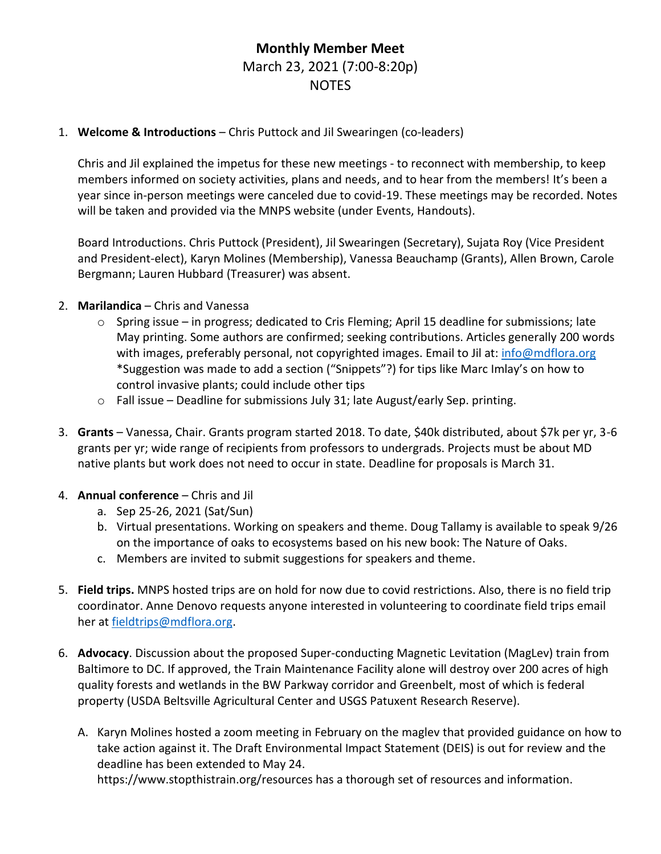## **Monthly Member Meet** March 23, 2021 (7:00-8:20p) NOTES

## 1. **Welcome & Introductions** – Chris Puttock and Jil Swearingen (co-leaders)

Chris and Jil explained the impetus for these new meetings - to reconnect with membership, to keep members informed on society activities, plans and needs, and to hear from the members! It's been a year since in-person meetings were canceled due to covid-19. These meetings may be recorded. Notes will be taken and provided via the MNPS website (under Events, Handouts).

Board Introductions. Chris Puttock (President), Jil Swearingen (Secretary), Sujata Roy (Vice President and President-elect), Karyn Molines (Membership), Vanessa Beauchamp (Grants), Allen Brown, Carole Bergmann; Lauren Hubbard (Treasurer) was absent.

- 2. **Marilandica** Chris and Vanessa
	- $\circ$  Spring issue in progress; dedicated to Cris Fleming; April 15 deadline for submissions; late May printing. Some authors are confirmed; seeking contributions. Articles generally 200 words with images, preferably personal, not copyrighted images. Email to Jil at: *info@mdflora.org* \*Suggestion was made to add a section ("Snippets"?) for tips like Marc Imlay's on how to control invasive plants; could include other tips
	- o Fall issue Deadline for submissions July 31; late August/early Sep. printing.
- 3. **Grants** Vanessa, Chair. Grants program started 2018. To date, \$40k distributed, about \$7k per yr, 3-6 grants per yr; wide range of recipients from professors to undergrads. Projects must be about MD native plants but work does not need to occur in state. Deadline for proposals is March 31.
- 4. **Annual conference** Chris and Jil
	- a. Sep 25-26, 2021 (Sat/Sun)
	- b. Virtual presentations. Working on speakers and theme. Doug Tallamy is available to speak 9/26 on the importance of oaks to ecosystems based on his new book: The Nature of Oaks.
	- c. Members are invited to submit suggestions for speakers and theme.
- 5. **Field trips.** MNPS hosted trips are on hold for now due to covid restrictions. Also, there is no field trip coordinator. Anne Denovo requests anyone interested in volunteering to coordinate field trips email her at [fieldtrips@mdflora.org.](mailto:fieldtrips@mdflora.org)
- 6. **Advocacy**. Discussion about the proposed Super-conducting Magnetic Levitation (MagLev) train from Baltimore to DC. If approved, the Train Maintenance Facility alone will destroy over 200 acres of high quality forests and wetlands in the BW Parkway corridor and Greenbelt, most of which is federal property (USDA Beltsville Agricultural Center and USGS Patuxent Research Reserve).
	- A. Karyn Molines hosted a zoom meeting in February on the maglev that provided guidance on how to take action against it. The Draft Environmental Impact Statement (DEIS) is out for review and the deadline has been extended to May 24.

https://www.stopthistrain.org/resources has a thorough set of resources and information.